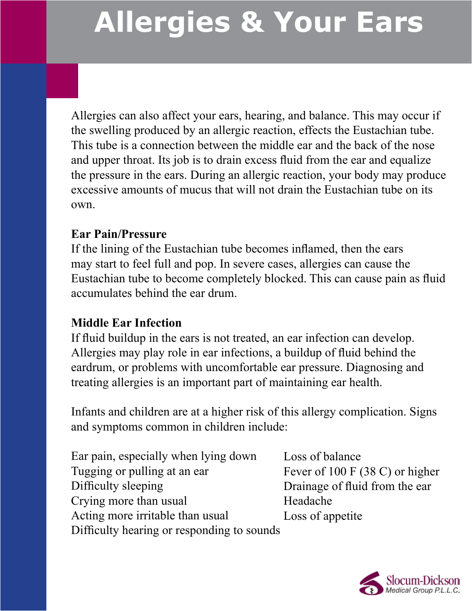Allergies can also affect your ears, hearing, and balance. This may occur if the swelling produced by an allergic reaction, effects the Eustachian tube. This tube is a connection between the middle ear and the back of the nose and upper throat. Its job is to drain excess fluid from the ear and equalize the pressure in the ears. During an allergic reaction, your body may produce excessive amounts of mucus that will not drain the Eustachian tube on its own.

#### **Ear Pain/Pressure**

Ī

If the lining of the Eustachian tube becomes inflamed, then the ears may start to feel full and pop. In severe cases, allergies can cause the Eustachian tube to become completely blocked. This can cause pain as fluid accumulates behind the ear drum.

#### **Middle Ear Infection**

If fluid buildup in the ears is not treated, an ear infection can develop. Allergies may play role in ear infections, a buildup of fluid behind the eardrum, or problems with uncomfortable ear pressure. Diagnosing and treating allergies is an important part of maintaining ear health.

Infants and children are at a higher risk of this allergy complication. Signs and symptoms common in children include:

| Ear pain, especially when lying down       | Loss of balance                   |
|--------------------------------------------|-----------------------------------|
| Tugging or pulling at an ear               | Fever of 100 F $(38 C)$ or higher |
| Difficulty sleeping                        | Drainage of fluid from the ear    |
| Crying more than usual                     | Headache                          |
| Acting more irritable than usual           | Loss of appetite                  |
| Difficulty hearing or responding to sounds |                                   |

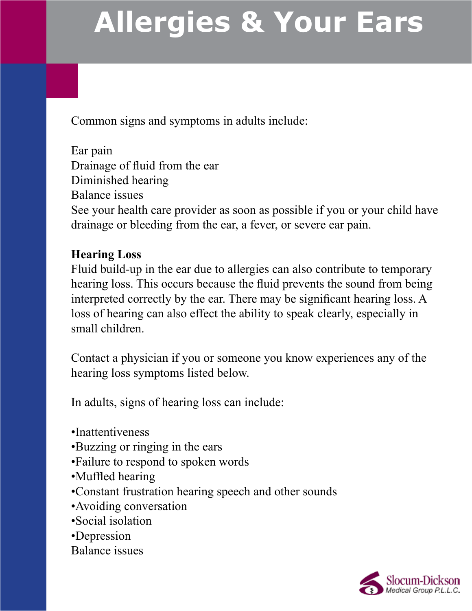Common signs and symptoms in adults include:

Ear pain Drainage of fluid from the ear Diminished hearing Balance issues See your health care provider as soon as possible if you or your child have drainage or bleeding from the ear, a fever, or severe ear pain.

### **Hearing Loss**

Fluid build-up in the ear due to allergies can also contribute to temporary hearing loss. This occurs because the fluid prevents the sound from being interpreted correctly by the ear. There may be significant hearing loss. A loss of hearing can also effect the ability to speak clearly, especially in small children.

Contact a physician if you or someone you know experiences any of the hearing loss symptoms listed below.

In adults, signs of hearing loss can include:

- •Inattentiveness
- •Buzzing or ringing in the ears
- •Failure to respond to spoken words
- •Muffled hearing
- •Constant frustration hearing speech and other sounds
- •Avoiding conversation
- •Social isolation
- •Depression

#### Balance issues

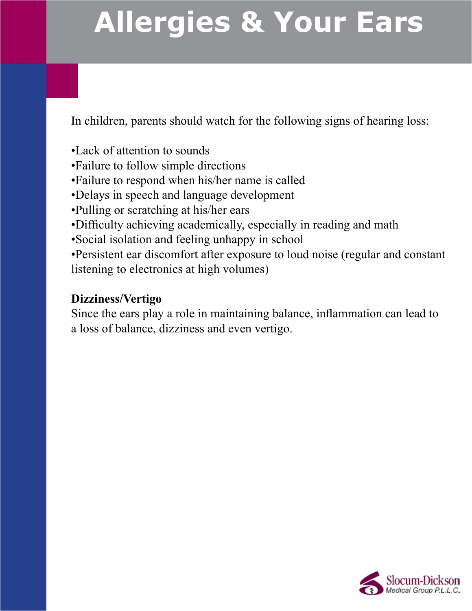In children, parents should watch for the following signs of hearing loss:

•Lack of attention to sounds

•Failure to follow simple directions

•Failure to respond when his/her name is called

•Delays in speech and language development

•Pulling or scratching at his/her ears

•Difficulty achieving academically, especially in reading and math

•Social isolation and feeling unhappy in school

•Persistent ear discomfort after exposure to loud noise (regular and constant listening to electronics at high volumes)

### **Dizziness/Vertigo**

Since the ears play a role in maintaining balance, inflammation can lead to a loss of balance, dizziness and even vertigo.